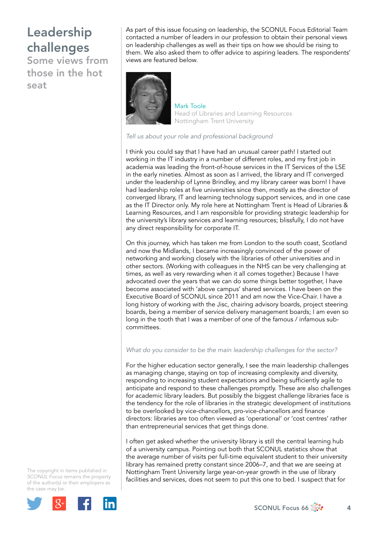Some views from those in the hot seat

As part of this issue focusing on leadership, the SCONUL Focus Editorial Team contacted a number of leaders in our profession to obtain their personal views on leadership challenges as well as their tips on how we should be rising to them. We also asked them to offer advice to aspiring leaders. The respondents' views are featured below.



Mark Toole Head of Libraries and Learning Resources Nottingham Trent University

*Tell us about your role and professional background*

I think you could say that I have had an unusual career path! I started out working in the IT industry in a number of different roles, and my first job in academia was leading the front-of-house services in the IT Services of the LSE in the early nineties. Almost as soon as I arrived, the library and IT converged under the leadership of Lynne Brindley, and my library career was born! I have had leadership roles at five universities since then, mostly as the director of converged library, IT and learning technology support services, and in one case as the IT Director only. My role here at Nottingham Trent is Head of Libraries & Learning Resources, and I am responsible for providing strategic leadership for the university's library services and learning resources; blissfully, I do not have any direct responsibility for corporate IT.

On this journey, which has taken me from London to the south coast, Scotland and now the Midlands, I became increasingly convinced of the power of networking and working closely with the libraries of other universities and in other sectors. (Working with colleagues in the NHS can be very challenging at times, as well as very rewarding when it all comes together.) Because I have advocated over the years that we can do some things better together, I have become associated with 'above campus' shared services. I have been on the Executive Board of SCONUL since 2011 and am now the Vice-Chair. I have a long history of working with the Jisc, chairing advisory boards, project steering boards, being a member of service delivery management boards; I am even so long in the tooth that I was a member of one of the famous / infamous subcommittees.

## *What do you consider to be the main leadership challenges for the sector?*

For the higher education sector generally, I see the main leadership challenges as managing change, staying on top of increasing complexity and diversity, responding to increasing student expectations and being sufficiently agile to anticipate and respond to these challenges promptly. These are also challenges for academic library leaders. But possibly the biggest challenge libraries face is the tendency for the role of libraries in the strategic development of institutions to be overlooked by vice-chancellors, pro-vice-chancellors and finance directors: libraries are too often viewed as 'operational' or 'cost centres' rather than entrepreneurial services that get things done.

I often get asked whether the university library is still the central learning hub of a university campus. Pointing out both that SCONUL statistics show that the average number of visits per full-time equivalent student to their university library has remained pretty constant since 2006–7, and that we are seeing at Nottingham Trent University large year-on-year growth in the use of library facilities and services, does not seem to put this one to bed. I suspect that for



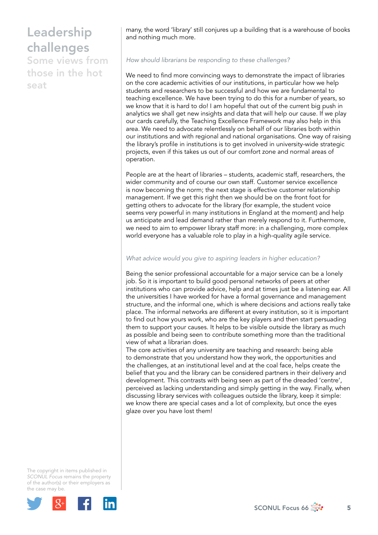Some views from those in the hot seat

many, the word 'library' still conjures up a building that is a warehouse of books and nothing much more.

#### *How should librarians be responding to these challenges?*

We need to find more convincing ways to demonstrate the impact of libraries on the core academic activities of our institutions, in particular how we help students and researchers to be successful and how we are fundamental to teaching excellence. We have been trying to do this for a number of years, so we know that it is hard to do! I am hopeful that out of the current big push in analytics we shall get new insights and data that will help our cause. If we play our cards carefully, the Teaching Excellence Framework may also help in this area. We need to advocate relentlessly on behalf of our libraries both within our institutions and with regional and national organisations. One way of raising the library's profile in institutions is to get involved in university-wide strategic projects, even if this takes us out of our comfort zone and normal areas of operation.

People are at the heart of libraries – students, academic staff, researchers, the wider community and of course our own staff. Customer service excellence is now becoming the norm; the next stage is effective customer relationship management. If we get this right then we should be on the front foot for getting others to advocate for the library (for example, the student voice seems very powerful in many institutions in England at the moment) and help us anticipate and lead demand rather than merely respond to it. Furthermore, we need to aim to empower library staff more: in a challenging, more complex world everyone has a valuable role to play in a high-quality agile service.

### *What advice would you give to aspiring leaders in higher education?*

Being the senior professional accountable for a major service can be a lonely job. So it is important to build good personal networks of peers at other institutions who can provide advice, help and at times just be a listening ear. All the universities I have worked for have a formal governance and management structure, and the informal one, which is where decisions and actions really take place. The informal networks are different at every institution, so it is important to find out how yours work, who are the key players and then start persuading them to support your causes. It helps to be visible outside the library as much as possible and being seen to contribute something more than the traditional view of what a librarian does.

The core activities of any university are teaching and research: being able to demonstrate that you understand how they work, the opportunities and the challenges, at an institutional level and at the coal face, helps create the belief that you and the library can be considered partners in their delivery and development. This contrasts with being seen as part of the dreaded 'centre', perceived as lacking understanding and simply getting in the way. Finally, when discussing library services with colleagues outside the library, keep it simple: we know there are special cases and a lot of complexity, but once the eyes glaze over you have lost them!

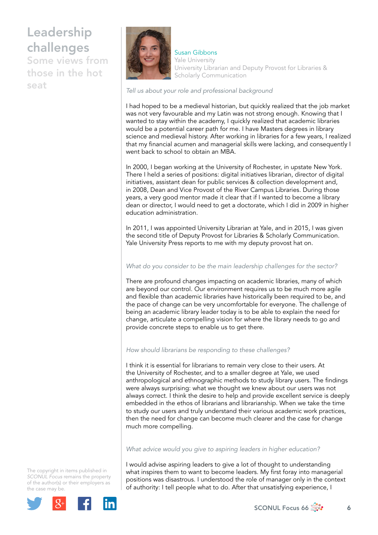Some views from those in the hot seat



Susan Gibbons Yale University University Librarian and Deputy Provost for Libraries & Scholarly Communication

#### *Tell us about your role and professional background*

I had hoped to be a medieval historian, but quickly realized that the job market was not very favourable and my Latin was not strong enough. Knowing that I wanted to stay within the academy, I quickly realized that academic libraries would be a potential career path for me. I have Masters degrees in library science and medieval history. After working in libraries for a few years, I realized that my financial acumen and managerial skills were lacking, and consequently I went back to school to obtain an MBA.

In 2000, I began working at the University of Rochester, in upstate New York. There I held a series of positions: digital initiatives librarian, director of digital initiatives, assistant dean for public services & collection development and, in 2008, Dean and Vice Provost of the River Campus Libraries. During those years, a very good mentor made it clear that if I wanted to become a library dean or director, I would need to get a doctorate, which I did in 2009 in higher education administration.

In 2011, I was appointed University Librarian at Yale, and in 2015, I was given the second title of Deputy Provost for Libraries & Scholarly Communication. Yale University Press reports to me with my deputy provost hat on.

### *What do you consider to be the main leadership challenges for the sector?*

There are profound changes impacting on academic libraries, many of which are beyond our control. Our environment requires us to be much more agile and flexible than academic libraries have historically been required to be, and the pace of change can be very uncomfortable for everyone. The challenge of being an academic library leader today is to be able to explain the need for change, articulate a compelling vision for where the library needs to go and provide concrete steps to enable us to get there.

### *How should librarians be responding to these challenges?*

I think it is essential for librarians to remain very close to their users. At the University of Rochester, and to a smaller degree at Yale, we used anthropological and ethnographic methods to study library users. The findings were always surprising: what we thought we knew about our users was not always correct. I think the desire to help and provide excellent service is deeply embedded in the ethos of librarians and librarianship. When we take the time to study our users and truly understand their various academic work practices, then the need for change can become much clearer and the case for change much more compelling.

### *What advice would you give to aspiring leaders in higher education?*

I would advise aspiring leaders to give a lot of thought to understanding what inspires them to want to become leaders. My first foray into managerial positions was disastrous. I understood the role of manager only in the context of authority: I tell people what to do. After that unsatisfying experience, I

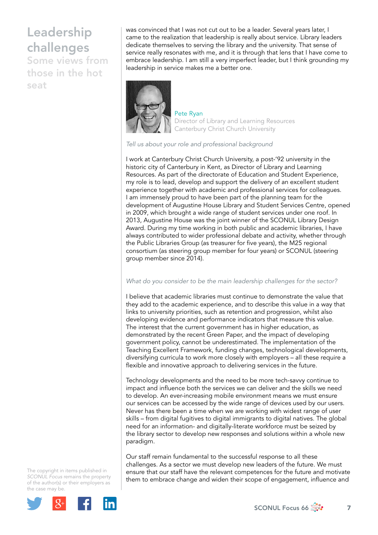Some views from those in the hot seat

was convinced that I was not cut out to be a leader. Several years later, I came to the realization that leadership is really about service. Library leaders dedicate themselves to serving the library and the university. That sense of service really resonates with me, and it is through that lens that I have come to embrace leadership. I am still a very imperfect leader, but I think grounding my leadership in service makes me a better one.



#### Pete Ryan Director of Library and Learning Resources Canterbury Christ Church University

#### *Tell us about your role and professional background*

I work at Canterbury Christ Church University, a post-'92 university in the historic city of Canterbury in Kent, as Director of Library and Learning Resources. As part of the directorate of Education and Student Experience, my role is to lead, develop and support the delivery of an excellent student experience together with academic and professional services for colleagues. I am immensely proud to have been part of the planning team for the development of Augustine House Library and Student Services Centre, opened in 2009, which brought a wide range of student services under one roof. In 2013, Augustine House was the joint winner of the SCONUL Library Design Award. During my time working in both public and academic libraries, I have always contributed to wider professional debate and activity, whether through the Public Libraries Group (as treasurer for five years), the M25 regional consortium (as steering group member for four years) or SCONUL (steering group member since 2014).

#### *What do you consider to be the main leadership challenges for the sector?*

I believe that academic libraries must continue to demonstrate the value that they add to the academic experience, and to describe this value in a way that links to university priorities, such as retention and progression, whilst also developing evidence and performance indicators that measure this value. The interest that the current government has in higher education, as demonstrated by the recent Green Paper, and the impact of developing government policy, cannot be underestimated. The implementation of the Teaching Excellent Framework, funding changes, technological developments, diversifying curricula to work more closely with employers – all these require a flexible and innovative approach to delivering services in the future.

Technology developments and the need to be more tech-savvy continue to impact and influence both the services we can deliver and the skills we need to develop. An ever-increasing mobile environment means we must ensure our services can be accessed by the wide range of devices used by our users. Never has there been a time when we are working with widest range of user skills – from digital fugitives to digital immigrants to digital natives. The global need for an information- and digitally-literate workforce must be seized by the library sector to develop new responses and solutions within a whole new paradigm.

Our staff remain fundamental to the successful response to all these challenges. As a sector we must develop new leaders of the future. We must ensure that our staff have the relevant competences for the future and motivate them to embrace change and widen their scope of engagement, influence and

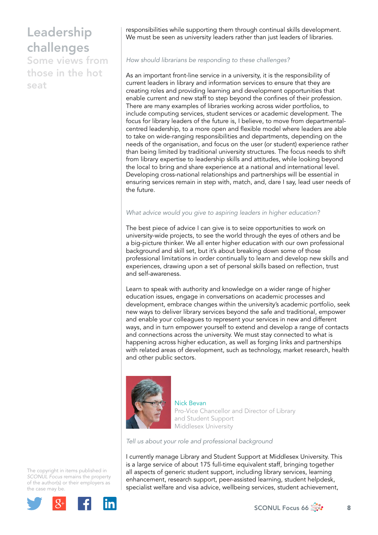Some views from those in the hot seat

responsibilities while supporting them through continual skills development. We must be seen as university leaders rather than just leaders of libraries.

*How should librarians be responding to these challenges?*

As an important front-line service in a university, it is the responsibility of current leaders in library and information services to ensure that they are creating roles and providing learning and development opportunities that enable current and new staff to step beyond the confines of their profession. There are many examples of libraries working across wider portfolios, to include computing services, student services or academic development. The focus for library leaders of the future is, I believe, to move from departmentalcentred leadership, to a more open and flexible model where leaders are able to take on wide-ranging responsibilities and departments, depending on the needs of the organisation, and focus on the user (or student) experience rather than being limited by traditional university structures. The focus needs to shift from library expertise to leadership skills and attitudes, while looking beyond the local to bring and share experience at a national and international level. Developing cross-national relationships and partnerships will be essential in ensuring services remain in step with, match, and, dare I say, lead user needs of the future.

### *What advice would you give to aspiring leaders in higher education?*

The best piece of advice I can give is to seize opportunities to work on university-wide projects, to see the world through the eyes of others and be a big-picture thinker. We all enter higher education with our own professional background and skill set, but it's about breaking down some of those professional limitations in order continually to learn and develop new skills and experiences, drawing upon a set of personal skills based on reflection, trust and self-awareness.

Learn to speak with authority and knowledge on a wider range of higher education issues, engage in conversations on academic processes and development, embrace changes within the university's academic portfolio, seek new ways to deliver library services beyond the safe and traditional, empower and enable your colleagues to represent your services in new and different ways, and in turn empower yourself to extend and develop a range of contacts and connections across the university. We must stay connected to what is happening across higher education, as well as forging links and partnerships with related areas of development, such as technology, market research, health and other public sectors.



Nick Bevan Pro-Vice Chancellor and Director of Library and Student Support Middlesex University

*Tell us about your role and professional background*

I currently manage Library and Student Support at Middlesex University. This is a large service of about 175 full-time equivalent staff, bringing together all aspects of generic student support, including library services, learning enhancement, research support, peer-assisted learning, student helpdesk, specialist welfare and visa advice, wellbeing services, student achievement,

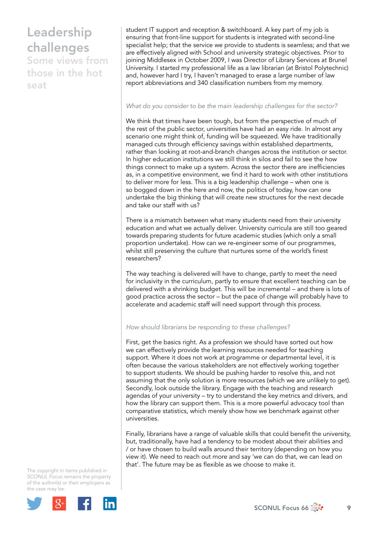Some views from those in the hot seat

student IT support and reception & switchboard. A key part of my job is ensuring that front-line support for students is integrated with second-line specialist help; that the service we provide to students is seamless; and that we are effectively aligned with School and university strategic objectives. Prior to joining Middlesex in October 2009, I was Director of Library Services at Brunel University. I started my professional life as a law librarian (at Bristol Polytechnic) and, however hard I try, I haven't managed to erase a large number of law report abbreviations and 340 classification numbers from my memory.

### *What do you consider to be the main leadership challenges for the sector?*

We think that times have been tough, but from the perspective of much of the rest of the public sector, universities have had an easy ride. In almost any scenario one might think of, funding will be squeezed. We have traditionally managed cuts through efficiency savings within established departments, rather than looking at root-and-branch changes across the institution or sector. In higher education institutions we still think in silos and fail to see the how things connect to make up a system. Across the sector there are inefficiencies as, in a competitive environment, we find it hard to work with other institutions to deliver more for less. This is a big leadership challenge – when one is so bogged down in the here and now, the politics of today, how can one undertake the big thinking that will create new structures for the next decade and take our staff with us?

There is a mismatch between what many students need from their university education and what we actually deliver. University curricula are still too geared towards preparing students for future academic studies (which only a small proportion undertake). How can we re-engineer some of our programmes, whilst still preserving the culture that nurtures some of the world's finest researchers?

The way teaching is delivered will have to change, partly to meet the need for inclusivity in the curriculum, partly to ensure that excellent teaching can be delivered with a shrinking budget. This will be incremental – and there is lots of good practice across the sector – but the pace of change will probably have to accelerate and academic staff will need support through this process.

### *How should librarians be responding to these challenges?*

First, get the basics right. As a profession we should have sorted out how we can effectively provide the learning resources needed for teaching support. Where it does not work at programme or departmental level, it is often because the various stakeholders are not effectively working together to support students. We should be pushing harder to resolve this, and not assuming that the only solution is more resources (which we are unlikely to get). Secondly, look outside the library. Engage with the teaching and research agendas of your university – try to understand the key metrics and drivers, and how the library can support them. This is a more powerful advocacy tool than comparative statistics, which merely show how we benchmark against other universities.

Finally, librarians have a range of valuable skills that could benefit the university, but, traditionally, have had a tendency to be modest about their abilities and / or have chosen to build walls around their territory (depending on how you view it). We need to reach out more and say 'we can do that, we can lead on that'. The future may be as flexible as we choose to make it.

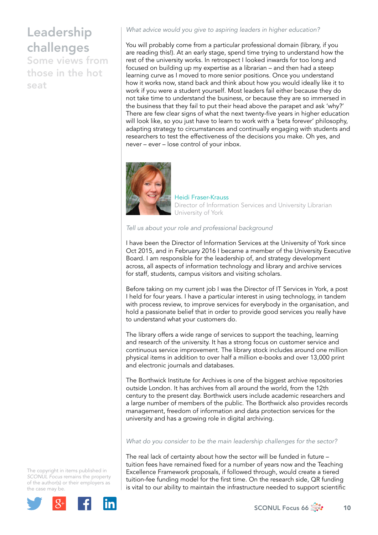Some views from those in the hot seat

*What advice would you give to aspiring leaders in higher education?*

You will probably come from a particular professional domain (library, if you are reading this!). At an early stage, spend time trying to understand how the rest of the university works. In retrospect I looked inwards for too long and focused on building up my expertise as a librarian – and then had a steep learning curve as I moved to more senior positions. Once you understand how it works now, stand back and think about how you would ideally like it to work if you were a student yourself. Most leaders fail either because they do not take time to understand the business, or because they are so immersed in the business that they fail to put their head above the parapet and ask 'why?' There are few clear signs of what the next twenty-five years in higher education will look like, so you just have to learn to work with a 'beta forever' philosophy, adapting strategy to circumstances and continually engaging with students and researchers to test the effectiveness of the decisions you make. Oh yes, and never – ever – lose control of your inbox.



Heidi Fraser-Krauss Director of Information Services and University Librarian University of York

*Tell us about your role and professional background*

I have been the Director of Information Services at the University of York since Oct 2015, and in February 2016 I became a member of the University Executive Board. I am responsible for the leadership of, and strategy development across, all aspects of information technology and library and archive services for staff, students, campus visitors and visiting scholars.

Before taking on my current job I was the Director of IT Services in York, a post I held for four years. I have a particular interest in using technology, in tandem with process review, to improve services for everybody in the organisation, and hold a passionate belief that in order to provide good services you really have to understand what your customers do.

The library offers a wide range of services to support the teaching, learning and research of the university. It has a strong focus on customer service and continuous service improvement. The library stock includes around one million physical items in addition to over half a million e-books and over 13,000 print and electronic journals and databases.

The Borthwick Institute for Archives is one of the biggest archive repositories outside London. It has archives from all around the world, from the 12th century to the present day. Borthwick users include academic researchers and a large number of members of the public. The Borthwick also provides records management, freedom of information and data protection services for the university and has a growing role in digital archiving.

### *What do you consider to be the main leadership challenges for the sector?*

The real lack of certainty about how the sector will be funded in future – tuition fees have remained fixed for a number of years now and the Teaching Excellence Framework proposals, if followed through, would create a tiered tuition-fee funding model for the first time. On the research side, QR funding is vital to our ability to maintain the infrastructure needed to support scientific

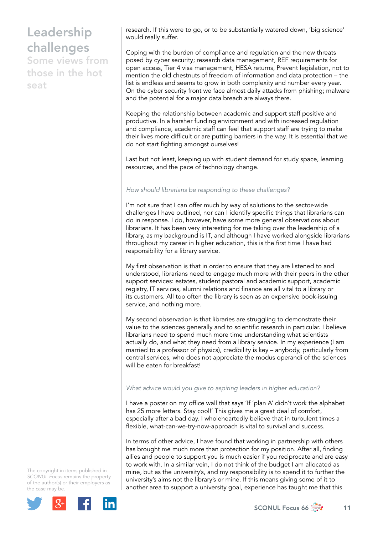Some views from those in the hot seat

research. If this were to go, or to be substantially watered down, 'big science' would really suffer.

Coping with the burden of compliance and regulation and the new threats posed by cyber security; research data management, REF requirements for open access, Tier 4 visa management, HESA returns, Prevent legislation, not to mention the old chestnuts of freedom of information and data protection – the list is endless and seems to grow in both complexity and number every year. On the cyber security front we face almost daily attacks from phishing; malware and the potential for a major data breach are always there.

Keeping the relationship between academic and support staff positive and productive. In a harsher funding environment and with increased regulation and compliance, academic staff can feel that support staff are trying to make their lives more difficult or are putting barriers in the way. It is essential that we do not start fighting amongst ourselves!

Last but not least, keeping up with student demand for study space, learning resources, and the pace of technology change.

### *How should librarians be responding to these challenges?*

I'm not sure that I can offer much by way of solutions to the sector-wide challenges I have outlined, nor can I identify specific things that librarians can do in response. I do, however, have some more general observations about librarians. It has been very interesting for me taking over the leadership of a library, as my background is IT, and although I have worked alongside librarians throughout my career in higher education, this is the first time I have had responsibility for a library service.

My first observation is that in order to ensure that they are listened to and understood, librarians need to engage much more with their peers in the other support services: estates, student pastoral and academic support, academic registry, IT services, alumni relations and finance are all vital to a library or its customers. All too often the library is seen as an expensive book-issuing service, and nothing more.

My second observation is that libraries are struggling to demonstrate their value to the sciences generally and to scientific research in particular. I believe librarians need to spend much more time understanding what scientists actually do, and what they need from a library service. In my experience (I am married to a professor of physics), credibility is key – anybody, particularly from central services, who does not appreciate the modus operandi of the sciences will be eaten for breakfast!

### *What advice would you give to aspiring leaders in higher education?*

I have a poster on my office wall that says 'If 'plan A' didn't work the alphabet has 25 more letters. Stay cool!' This gives me a great deal of comfort, especially after a bad day. I wholeheartedly believe that in turbulent times a flexible, what-can-we-try-now-approach is vital to survival and success.

In terms of other advice, I have found that working in partnership with others has brought me much more than protection for my position. After all, finding allies and people to support you is much easier if you reciprocate and are easy to work with. In a similar vein, I do not think of the budget I am allocated as mine, but as the university's, and my responsibility is to spend it to further the university's aims not the library's or mine. If this means giving some of it to another area to support a university goal, experience has taught me that this

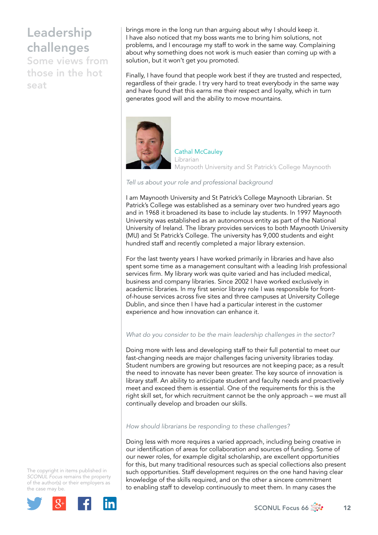Some views from those in the hot seat

brings more in the long run than arguing about why I should keep it. I have also noticed that my boss wants me to bring him solutions, not problems, and I encourage my staff to work in the same way. Complaining about why something does not work is much easier than coming up with a solution, but it won't get you promoted.

Finally, I have found that people work best if they are trusted and respected, regardless of their grade. I try very hard to treat everybody in the same way and have found that this earns me their respect and loyalty, which in turn generates good will and the ability to move mountains.



Cathal McCauley Librarian Maynooth University and St Patrick's College Maynooth

### *Tell us about your role and professional background*

I am Maynooth University and St Patrick's College Maynooth Librarian. St Patrick's College was established as a seminary over two hundred years ago and in 1968 it broadened its base to include lay students. In 1997 Maynooth University was established as an autonomous entity as part of the National University of Ireland. The library provides services to both Maynooth University (MU) and St Patrick's College. The university has 9,000 students and eight hundred staff and recently completed a major library extension.

For the last twenty years I have worked primarily in libraries and have also spent some time as a management consultant with a leading Irish professional services firm. My library work was quite varied and has included medical, business and company libraries. Since 2002 I have worked exclusively in academic libraries. In my first senior library role I was responsible for frontof-house services across five sites and three campuses at University College Dublin, and since then I have had a particular interest in the customer experience and how innovation can enhance it.

## *What do you consider to be the main leadership challenges in the sector?*

Doing more with less and developing staff to their full potential to meet our fast-changing needs are major challenges facing university libraries today. Student numbers are growing but resources are not keeping pace; as a result the need to innovate has never been greater. The key source of innovation is library staff. An ability to anticipate student and faculty needs and proactively meet and exceed them is essential. One of the requirements for this is the right skill set, for which recruitment cannot be the only approach – we must all continually develop and broaden our skills.

### *How should librarians be responding to these challenges?*

Doing less with more requires a varied approach, including being creative in our identification of areas for collaboration and sources of funding. Some of our newer roles, for example digital scholarship, are excellent opportunities for this, but many traditional resources such as special collections also present such opportunities. Staff development requires on the one hand having clear knowledge of the skills required, and on the other a sincere commitment to enabling staff to develop continuously to meet them. In many cases the